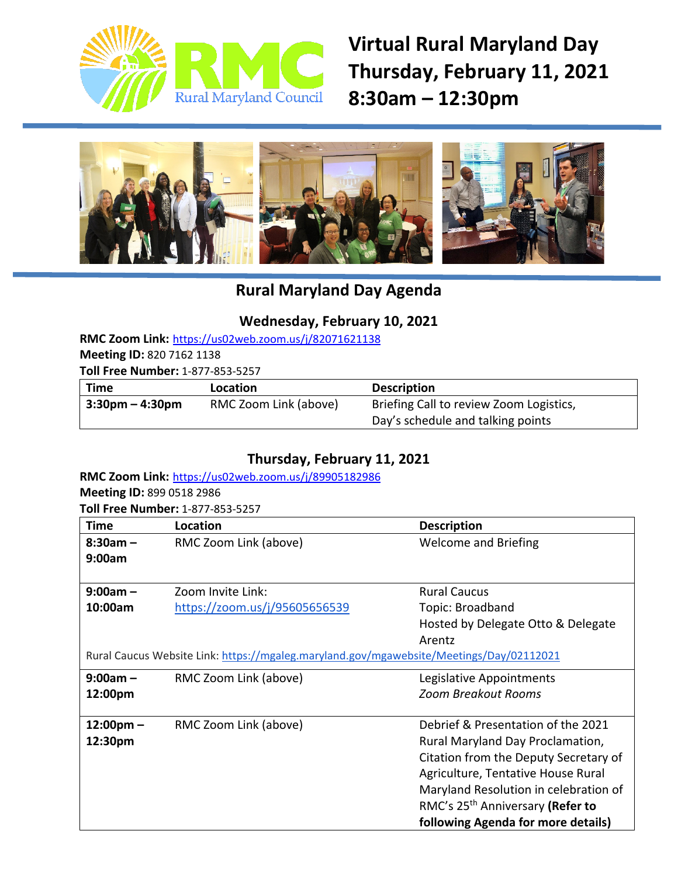

**Virtual Rural Maryland Day Thursday, February 11, 2021 8:30am – 12:30pm**



# **Rural Maryland Day Agenda**

### **Wednesday, February 10, 2021**

**RMC Zoom Link:** <https://us02web.zoom.us/j/82071621138>

**Meeting ID:** 820 7162 1138

**Toll Free Number:** 1-877-853-5257

| <b>Time</b>        | Location              | <b>Description</b>                      |
|--------------------|-----------------------|-----------------------------------------|
| $3:30$ pm – 4:30pm | RMC Zoom Link (above) | Briefing Call to review Zoom Logistics, |
|                    |                       | Day's schedule and talking points       |

### **Thursday, February 11, 2021**

**RMC Zoom Link:** <https://us02web.zoom.us/j/89905182986> **Meeting ID:** 899 0518 2986 **Toll Free Number:** 1-877-853-5257

**Time Location Location Description 8:30am – 9:00am** RMC Zoom Link (above) Welcome and Briefing **9:00am – 10:00am**  Zoom Invite Link: <https://zoom.us/j/95605656539> Rural Caucus Topic: Broadband Hosted by Delegate Otto & Delegate Arentz Rural Caucus Website Link: <https://mgaleg.maryland.gov/mgawebsite/Meetings/Day/02112021> **9:00am – 12:00pm** RMC Zoom Link (above) Legislative Appointments *Zoom Breakout Rooms* **12:00pm – 12:30pm** RMC Zoom Link (above) Debrief & Presentation of the 2021 Rural Maryland Day Proclamation, Citation from the Deputy Secretary of Agriculture, Tentative House Rural Maryland Resolution in celebration of RMC's 25th Anniversary **(Refer to following Agenda for more details)**